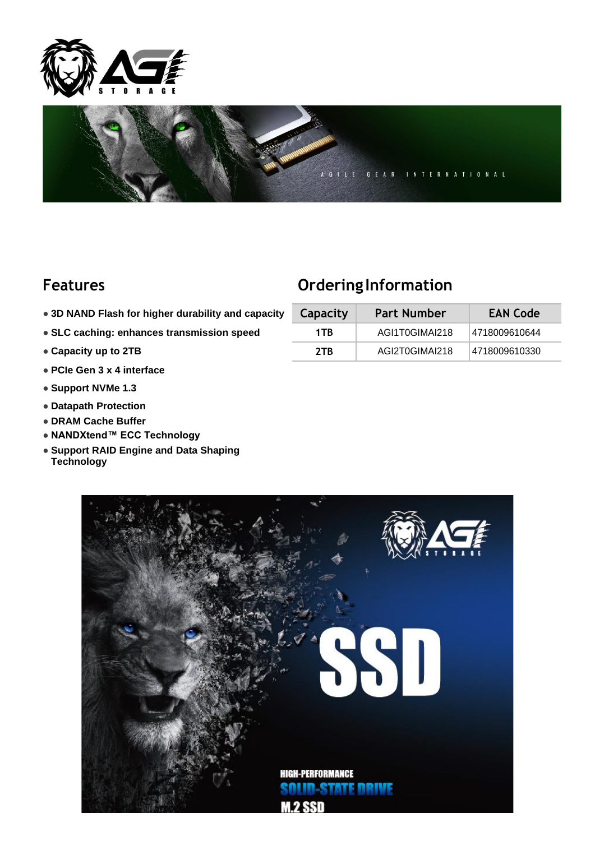



## **Features Ordering Information**

- $\bullet$  **3D NAND Flash for higher durability and capacity**
- **SLC caching: enhances transmission speed**
- Capacity up to 2TB
- **PCIe Gen 3 x 4 interface**
- **Support NVMe 1.3**
- **Datapath Protection**
- **DRAM Cache Buffer**
- **NANDXtend™ ECC Technology**
- **Support RAID Engine and Data Shaping Technology**

| Capacity | <b>Part Number</b> | <b>EAN Code</b> |  |  |
|----------|--------------------|-----------------|--|--|
| 1TR      | AGI1T0GIMAI218     | 4718009610644   |  |  |
| 2TR      | AGI2T0GIMAI218     | 4718009610330   |  |  |